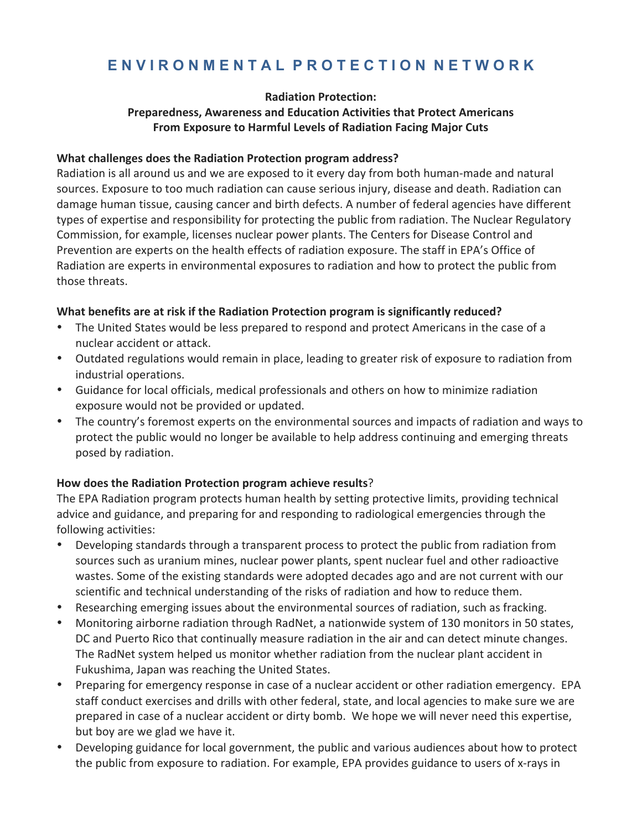# **E N V I R O N M E N T A L P R O T E C T I O N N E T W O R K**

#### **Radiation Protection:**

## **Preparedness, Awareness and Education Activities that Protect Americans From Exposure to Harmful Levels of Radiation Facing Major Cuts**

#### **What challenges does the Radiation Protection program address?**

Radiation is all around us and we are exposed to it every day from both human-made and natural sources. Exposure to too much radiation can cause serious injury, disease and death. Radiation can damage human tissue, causing cancer and birth defects. A number of federal agencies have different types of expertise and responsibility for protecting the public from radiation. The Nuclear Regulatory Commission, for example, licenses nuclear power plants. The Centers for Disease Control and Prevention are experts on the health effects of radiation exposure. The staff in EPA's Office of Radiation are experts in environmental exposures to radiation and how to protect the public from those threats.

#### What benefits are at risk if the Radiation Protection program is significantly reduced?

- The United States would be less prepared to respond and protect Americans in the case of a nuclear accident or attack.
- Outdated regulations would remain in place, leading to greater risk of exposure to radiation from industrial operations.
- Guidance for local officials, medical professionals and others on how to minimize radiation exposure would not be provided or updated.
- The country's foremost experts on the environmental sources and impacts of radiation and ways to protect the public would no longer be available to help address continuing and emerging threats posed by radiation.

## How does the Radiation Protection program achieve results?

The EPA Radiation program protects human health by setting protective limits, providing technical advice and guidance, and preparing for and responding to radiological emergencies through the following activities:

- Developing standards through a transparent process to protect the public from radiation from sources such as uranium mines, nuclear power plants, spent nuclear fuel and other radioactive wastes. Some of the existing standards were adopted decades ago and are not current with our scientific and technical understanding of the risks of radiation and how to reduce them.
- Researching emerging issues about the environmental sources of radiation, such as fracking.
- Monitoring airborne radiation through RadNet, a nationwide system of 130 monitors in 50 states, DC and Puerto Rico that continually measure radiation in the air and can detect minute changes. The RadNet system helped us monitor whether radiation from the nuclear plant accident in Fukushima, Japan was reaching the United States.
- Preparing for emergency response in case of a nuclear accident or other radiation emergency. EPA staff conduct exercises and drills with other federal, state, and local agencies to make sure we are prepared in case of a nuclear accident or dirty bomb. We hope we will never need this expertise, but boy are we glad we have it.
- Developing guidance for local government, the public and various audiences about how to protect the public from exposure to radiation. For example, EPA provides guidance to users of x-rays in